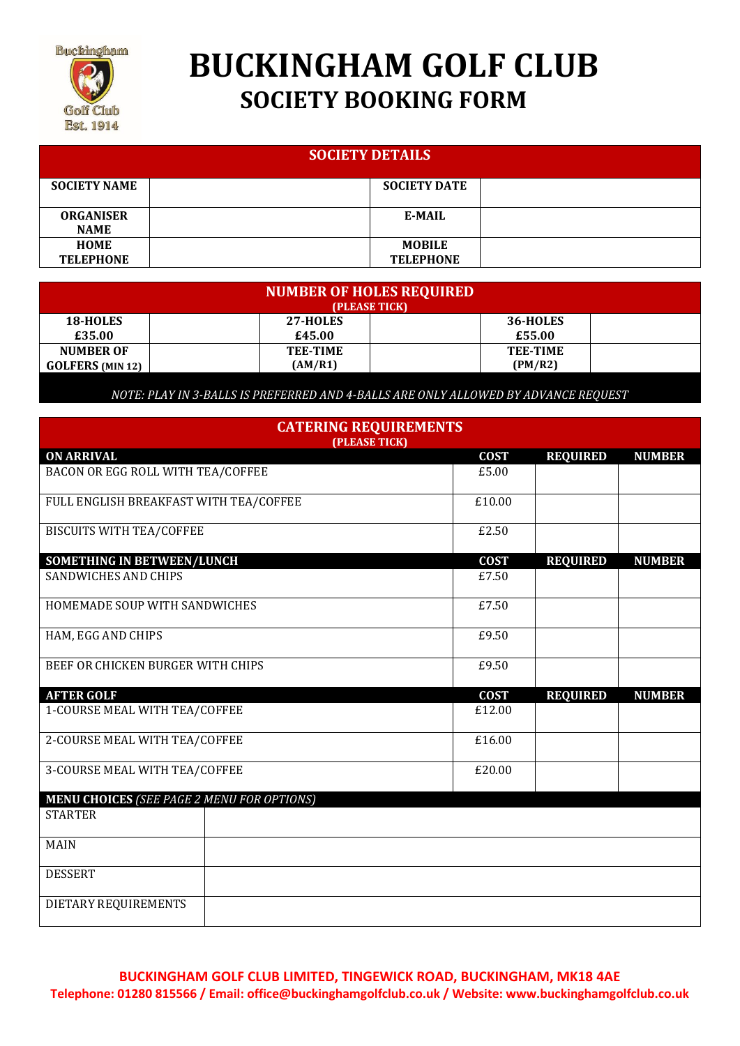

# **BUCKINGHAM GOLF CLUB SOCIETY BOOKING FORM**

| <b>SOCIETY DETAILS</b>          |                                   |  |  |  |  |
|---------------------------------|-----------------------------------|--|--|--|--|
| <b>SOCIETY NAME</b>             | <b>SOCIETY DATE</b>               |  |  |  |  |
| <b>ORGANISER</b><br><b>NAME</b> | <b>E-MAIL</b>                     |  |  |  |  |
| <b>HOME</b><br><b>TELEPHONE</b> | <b>MOBILE</b><br><b>TELEPHONE</b> |  |  |  |  |

| <b>NUMBER OF HOLES REQUIRED</b><br>(PLEASE TICK) |                 |                 |  |  |  |  |
|--------------------------------------------------|-----------------|-----------------|--|--|--|--|
| 18-HOLES                                         | 27-HOLES        | 36-HOLES        |  |  |  |  |
| £35.00                                           | £45.00          | £55.00          |  |  |  |  |
| <b>NUMBER OF</b>                                 | <b>TEE-TIME</b> | <b>TEE-TIME</b> |  |  |  |  |
| <b>GOLFERS</b> (MIN 12)                          | (AM/R1)         | (PM/R2)         |  |  |  |  |

*NOTE: PLAY IN 3-BALLS IS PREFERRED AND 4-BALLS ARE ONLY ALLOWED BY ADVANCE REQUEST*

| <b>CATERING REQUIREMENTS</b><br>(PLEASE TICK)     |             |                 |               |  |  |  |
|---------------------------------------------------|-------------|-----------------|---------------|--|--|--|
| <b>ON ARRIVAL</b>                                 | <b>COST</b> | <b>REQUIRED</b> | <b>NUMBER</b> |  |  |  |
| BACON OR EGG ROLL WITH TEA/COFFEE                 | £5.00       |                 |               |  |  |  |
| FULL ENGLISH BREAKFAST WITH TEA/COFFEE            | £10.00      |                 |               |  |  |  |
| <b>BISCUITS WITH TEA/COFFEE</b>                   | £2.50       |                 |               |  |  |  |
| <b>SOMETHING IN BETWEEN/LUNCH</b>                 | <b>COST</b> | <b>REQUIRED</b> | <b>NUMBER</b> |  |  |  |
| <b>SANDWICHES AND CHIPS</b>                       | £7.50       |                 |               |  |  |  |
| HOMEMADE SOUP WITH SANDWICHES                     | £7.50       |                 |               |  |  |  |
| HAM, EGG AND CHIPS                                | £9.50       |                 |               |  |  |  |
| BEEF OR CHICKEN BURGER WITH CHIPS                 | £9.50       |                 |               |  |  |  |
| <b>AFTER GOLF</b>                                 | <b>COST</b> | <b>REQUIRED</b> | <b>NUMBER</b> |  |  |  |
| 1-COURSE MEAL WITH TEA/COFFEE                     | £12.00      |                 |               |  |  |  |
| 2-COURSE MEAL WITH TEA/COFFEE                     | £16.00      |                 |               |  |  |  |
| 3-COURSE MEAL WITH TEA/COFFEE                     | £20.00      |                 |               |  |  |  |
| <b>MENU CHOICES (SEE PAGE 2 MENU FOR OPTIONS)</b> |             |                 |               |  |  |  |
| <b>STARTER</b>                                    |             |                 |               |  |  |  |
| <b>MAIN</b>                                       |             |                 |               |  |  |  |
| <b>DESSERT</b>                                    |             |                 |               |  |  |  |
| DIETARY REQUIREMENTS                              |             |                 |               |  |  |  |